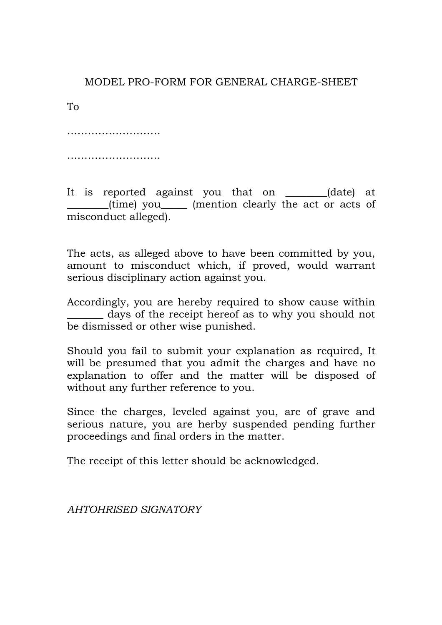# MODEL PRO-FORM FOR GENERAL CHARGE-SHEET

To

……………………………

……………………………

It is reported against you that on  $(date)$  at \_\_\_\_\_\_\_\_(time) you\_\_\_\_\_ (mention clearly the act or acts of misconduct alleged).

The acts, as alleged above to have been committed by you, amount to misconduct which, if proved, would warrant serious disciplinary action against you.

Accordingly, you are hereby required to show cause within days of the receipt hereof as to why you should not be dismissed or other wise punished.

Should you fail to submit your explanation as required, It will be presumed that you admit the charges and have no explanation to offer and the matter will be disposed of without any further reference to you.

Since the charges, leveled against you, are of grave and serious nature, you are herby suspended pending further proceedings and final orders in the matter.

The receipt of this letter should be acknowledged.

*AHTOHRISED SIGNATORY*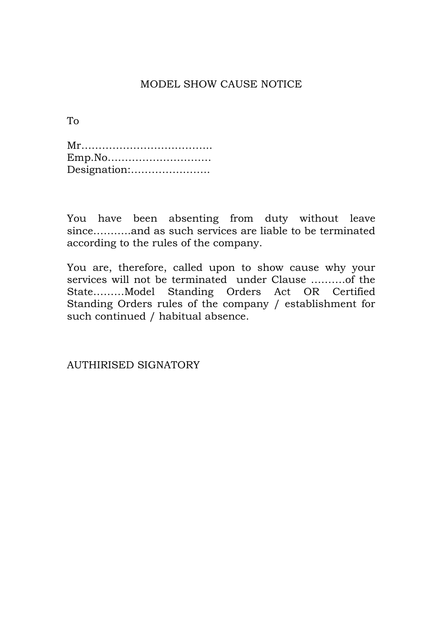# MODEL SHOW CAUSE NOTICE

To

| Emp.No       |  |
|--------------|--|
| Designation: |  |

You have been absenting from duty without leave since………..and as such services are liable to be terminated according to the rules of the company.

You are, therefore, called upon to show cause why your services will not be terminated under Clause ……….of the State………Model Standing Orders Act OR Certified Standing Orders rules of the company / establishment for such continued / habitual absence.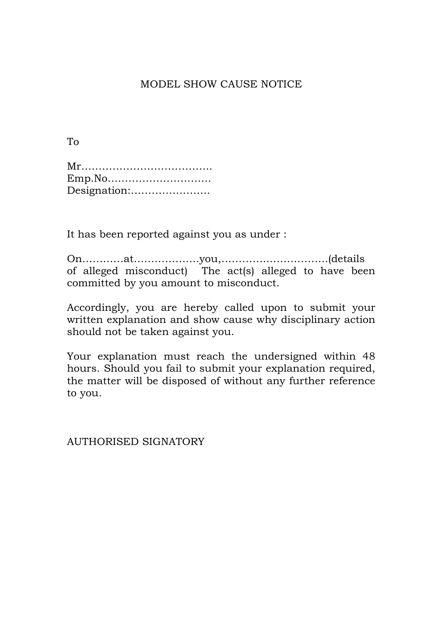# MODEL SHOW CAUSE NOTICE

To

| Emp.No       |  |
|--------------|--|
| Designation: |  |

It has been reported against you as under :

On…………at……………….you,…………..……………..(details of alleged misconduct) The act(s) alleged to have been committed by you amount to misconduct.

Accordingly, you are hereby called upon to submit your written explanation and show cause why disciplinary action should not be taken against you.

Your explanation must reach the undersigned within 48 hours. Should you fail to submit your explanation required, the matter will be disposed of without any further reference to you.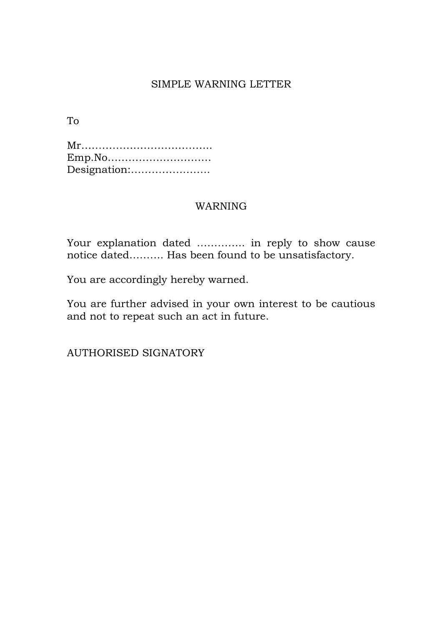# SIMPLE WARNING LETTER

To

Mr……………………………….. Emp.No………………………… Designation:…………………..

## WARNING

Your explanation dated ………….. in reply to show cause notice dated………. Has been found to be unsatisfactory.

You are accordingly hereby warned.

You are further advised in your own interest to be cautious and not to repeat such an act in future.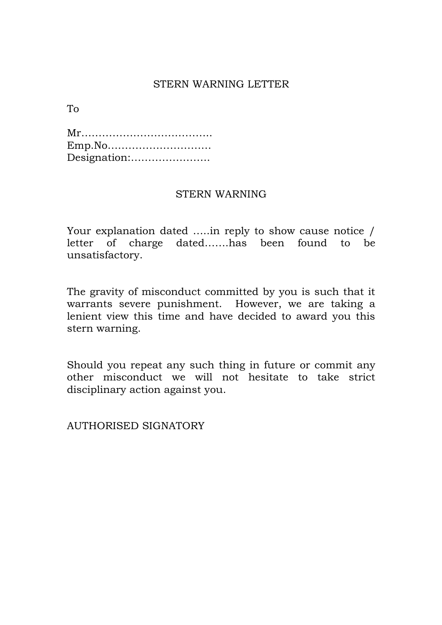## STERN WARNING LETTER

To

| Designation: |  |  |  |  |  |  |  |  |  |
|--------------|--|--|--|--|--|--|--|--|--|

### STERN WARNING

Your explanation dated …..in reply to show cause notice / letter of charge dated…….has been found to be unsatisfactory.

The gravity of misconduct committed by you is such that it warrants severe punishment. However, we are taking a lenient view this time and have decided to award you this stern warning.

Should you repeat any such thing in future or commit any other misconduct we will not hesitate to take strict disciplinary action against you.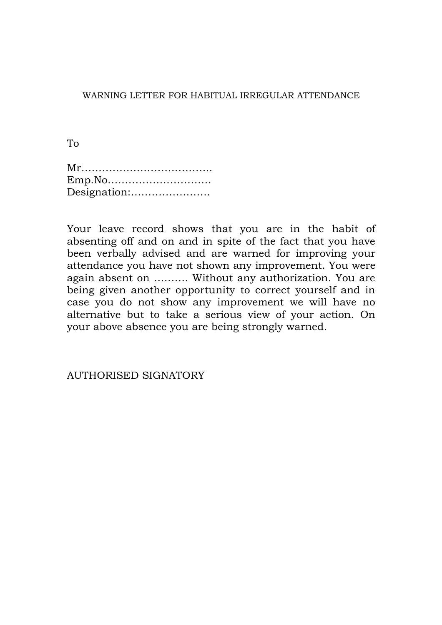WARNING LETTER FOR HABITUAL IRREGULAR ATTENDANCE

To

| Emp.No       |
|--------------|
| Designation: |

Your leave record shows that you are in the habit of absenting off and on and in spite of the fact that you have been verbally advised and are warned for improving your attendance you have not shown any improvement. You were again absent on ………. Without any authorization. You are being given another opportunity to correct yourself and in case you do not show any improvement we will have no alternative but to take a serious view of your action. On your above absence you are being strongly warned.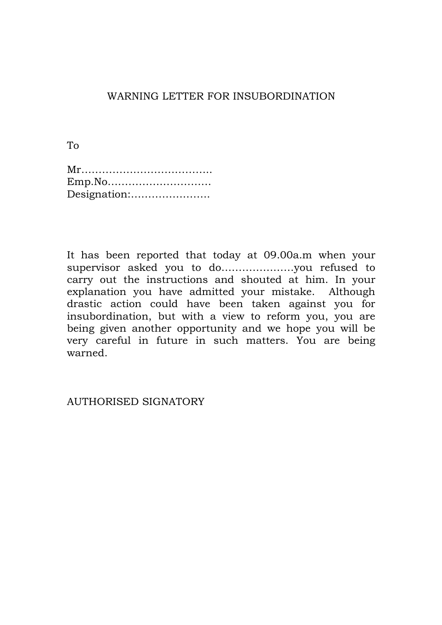# WARNING LETTER FOR INSUBORDINATION

To

| Emp.No       |
|--------------|
| Designation: |

It has been reported that today at 09.00a.m when your supervisor asked you to do…………………you refused to carry out the instructions and shouted at him. In your explanation you have admitted your mistake. Although drastic action could have been taken against you for insubordination, but with a view to reform you, you are being given another opportunity and we hope you will be very careful in future in such matters. You are being warned.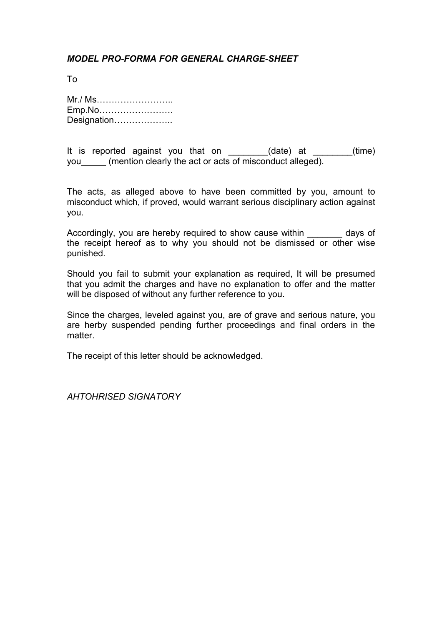### *MODEL PRO-FORMA FOR GENERAL CHARGE-SHEET*

To

Mr./ Ms…………………….. Emp.No……………………. Designation………………..

It is reported against you that on  $(date)$  at  $(time)$ you (mention clearly the act or acts of misconduct alleged).

The acts, as alleged above to have been committed by you, amount to misconduct which, if proved, would warrant serious disciplinary action against you.

Accordingly, you are hereby required to show cause within days of the receipt hereof as to why you should not be dismissed or other wise punished.

Should you fail to submit your explanation as required, It will be presumed that you admit the charges and have no explanation to offer and the matter will be disposed of without any further reference to you.

Since the charges, leveled against you, are of grave and serious nature, you are herby suspended pending further proceedings and final orders in the matter.

The receipt of this letter should be acknowledged.

*AHTOHRISED SIGNATORY*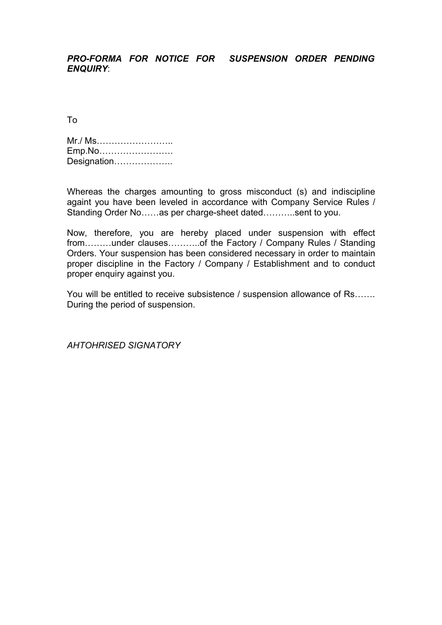#### *PRO-FORMA FOR NOTICE FOR SUSPENSION ORDER PENDING ENQUIRY*:

To

Mr./ Ms…………………….. Emp.No……………………. Designation………………

Whereas the charges amounting to gross misconduct (s) and indiscipline againt you have been leveled in accordance with Company Service Rules / Standing Order No……as per charge-sheet dated………..sent to you.

Now, therefore, you are hereby placed under suspension with effect from………under clauses………..of the Factory / Company Rules / Standing Orders. Your suspension has been considered necessary in order to maintain proper discipline in the Factory / Company / Establishment and to conduct proper enquiry against you.

You will be entitled to receive subsistence / suspension allowance of Rs……. During the period of suspension.

*AHTOHRISED SIGNATORY*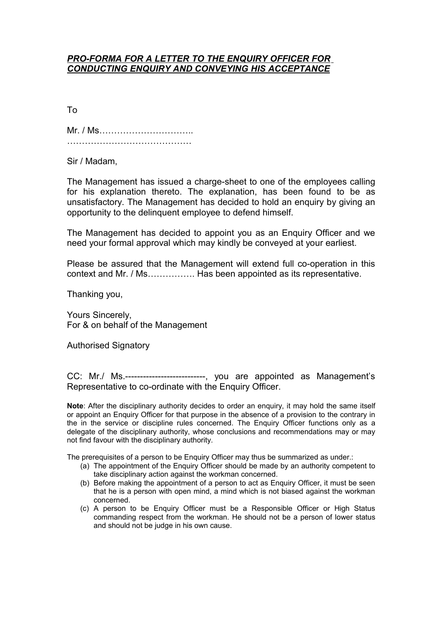#### *PRO-FORMA FOR A LETTER TO THE ENQUIRY OFFICER FOR CONDUCTING ENQUIRY AND CONVEYING HIS ACCEPTANCE*

To

Mr. / Ms………………………….. ……………………………………

Sir / Madam,

The Management has issued a charge-sheet to one of the employees calling for his explanation thereto. The explanation, has been found to be as unsatisfactory. The Management has decided to hold an enquiry by giving an opportunity to the delinquent employee to defend himself.

The Management has decided to appoint you as an Enquiry Officer and we need your formal approval which may kindly be conveyed at your earliest.

Please be assured that the Management will extend full co-operation in this context and Mr. / Ms……………. Has been appointed as its representative.

Thanking you,

Yours Sincerely, For & on behalf of the Management

Authorised Signatory

CC: Mr./ Ms.---------------------------, you are appointed as Management's Representative to co-ordinate with the Enquiry Officer.

**Note**: After the disciplinary authority decides to order an enquiry, it may hold the same itself or appoint an Enquiry Officer for that purpose in the absence of a provision to the contrary in the in the service or discipline rules concerned. The Enquiry Officer functions only as a delegate of the disciplinary authority, whose conclusions and recommendations may or may not find favour with the disciplinary authority.

The prerequisites of a person to be Enquiry Officer may thus be summarized as under.:

- (a) The appointment of the Enquiry Officer should be made by an authority competent to take disciplinary action against the workman concerned.
- (b) Before making the appointment of a person to act as Enquiry Officer, it must be seen that he is a person with open mind, a mind which is not biased against the workman concerned.
- (c) A person to be Enquiry Officer must be a Responsible Officer or High Status commanding respect from the workman. He should not be a person of lower status and should not be judge in his own cause.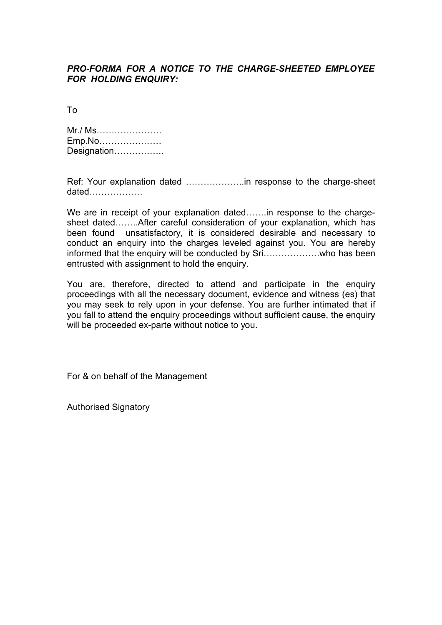#### *PRO-FORMA FOR A NOTICE TO THE CHARGE-SHEETED EMPLOYEE FOR HOLDING ENQUIRY:*

To

| Mr./ Ms     |  |
|-------------|--|
| Emp.No      |  |
| Designation |  |

Ref: Your explanation dated ………………..in response to the charge-sheet dated………………

We are in receipt of your explanation dated…….in response to the chargesheet dated……..After careful consideration of your explanation, which has been found unsatisfactory, it is considered desirable and necessary to conduct an enquiry into the charges leveled against you. You are hereby informed that the enquiry will be conducted by Sri……………….who has been entrusted with assignment to hold the enquiry.

You are, therefore, directed to attend and participate in the enquiry proceedings with all the necessary document, evidence and witness (es) that you may seek to rely upon in your defense. You are further intimated that if you fall to attend the enquiry proceedings without sufficient cause, the enquiry will be proceeded ex-parte without notice to you.

For & on behalf of the Management

Authorised Signatory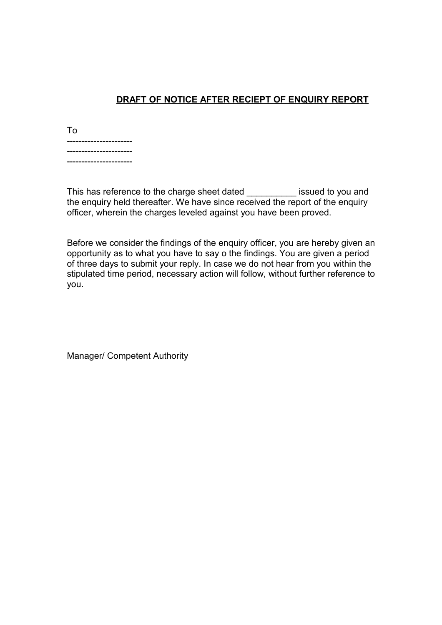## **DRAFT OF NOTICE AFTER RECIEPT OF ENQUIRY REPORT**

| To                                                |  |
|---------------------------------------------------|--|
| -----<br>--------<br>--<br>--<br>-<br>-<br>-<br>- |  |
| --<br>-                                           |  |
| --------<br>-------------                         |  |

This has reference to the charge sheet dated **issued to you and** the enquiry held thereafter. We have since received the report of the enquiry officer, wherein the charges leveled against you have been proved.

Before we consider the findings of the enquiry officer, you are hereby given an opportunity as to what you have to say o the findings. You are given a period of three days to submit your reply. In case we do not hear from you within the stipulated time period, necessary action will follow, without further reference to you.

Manager/ Competent Authority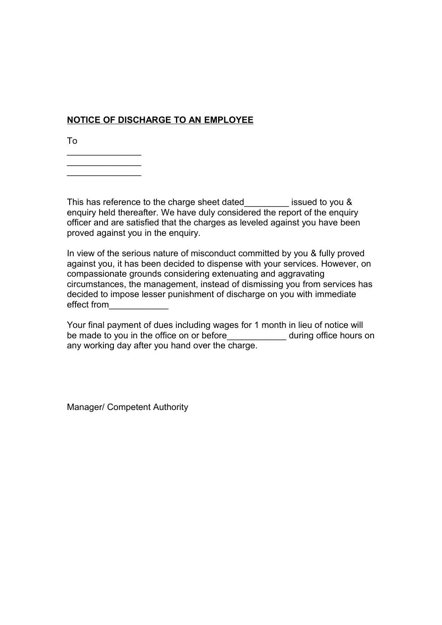## **NOTICE OF DISCHARGE TO AN EMPLOYEE**

To

 $\frac{1}{2}$  $\frac{1}{2}$  $\frac{1}{2}$ 

This has reference to the charge sheet dated\_\_\_\_\_\_\_\_\_ issued to you & enquiry held thereafter. We have duly considered the report of the enquiry officer and are satisfied that the charges as leveled against you have been proved against you in the enquiry.

In view of the serious nature of misconduct committed by you & fully proved against you, it has been decided to dispense with your services. However, on compassionate grounds considering extenuating and aggravating circumstances, the management, instead of dismissing you from services has decided to impose lesser punishment of discharge on you with immediate effect from\_\_\_\_\_\_\_\_\_\_\_\_

Your final payment of dues including wages for 1 month in lieu of notice will be made to you in the office on or before\_\_\_\_\_\_\_\_\_\_\_\_\_ during office hours on any working day after you hand over the charge.

Manager/ Competent Authority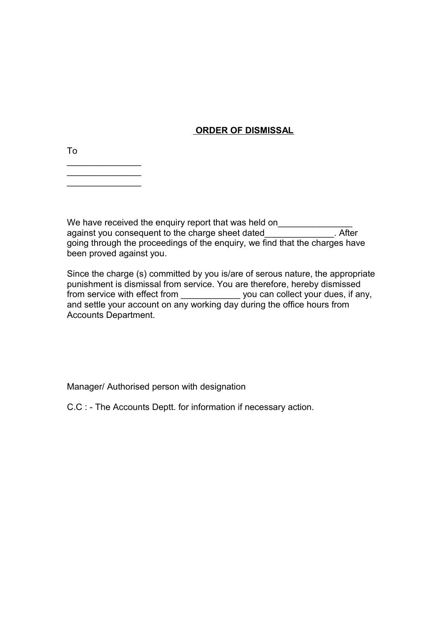### **ORDER OF DISMISSAL**

To

 $\frac{1}{2}$ 

We have received the enquiry report that was held on\_\_\_\_\_\_\_\_\_\_\_\_\_\_\_\_\_\_\_\_\_\_\_\_\_\_\_\_ against you consequent to the charge sheet dated\_\_\_\_\_\_\_\_\_\_\_\_\_\_\_. After going through the proceedings of the enquiry, we find that the charges have been proved against you.

Since the charge (s) committed by you is/are of serous nature, the appropriate punishment is dismissal from service. You are therefore, hereby dismissed from service with effect from \_\_\_\_\_\_\_\_\_\_\_\_\_\_ you can collect your dues, if any, and settle your account on any working day during the office hours from Accounts Department.

Manager/ Authorised person with designation

C.C : - The Accounts Deptt. for information if necessary action.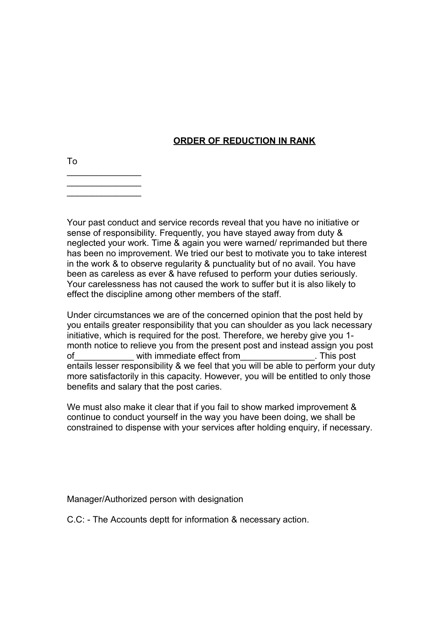### **ORDER OF REDUCTION IN RANK**

To  $\frac{1}{2}$ 

 $\frac{1}{2}$ 

Your past conduct and service records reveal that you have no initiative or sense of responsibility. Frequently, you have stayed away from duty & neglected your work. Time & again you were warned/ reprimanded but there has been no improvement. We tried our best to motivate you to take interest in the work & to observe regularity & punctuality but of no avail. You have been as careless as ever & have refused to perform your duties seriously. Your carelessness has not caused the work to suffer but it is also likely to effect the discipline among other members of the staff.

Under circumstances we are of the concerned opinion that the post held by you entails greater responsibility that you can shoulder as you lack necessary initiative, which is required for the post. Therefore, we hereby give you 1 month notice to relieve you from the present post and instead assign you post of with immediate effect from This post entails lesser responsibility & we feel that you will be able to perform your duty more satisfactorily in this capacity. However, you will be entitled to only those benefits and salary that the post caries.

We must also make it clear that if you fail to show marked improvement & continue to conduct yourself in the way you have been doing, we shall be constrained to dispense with your services after holding enquiry, if necessary.

Manager/Authorized person with designation

C.C: - The Accounts deptt for information & necessary action.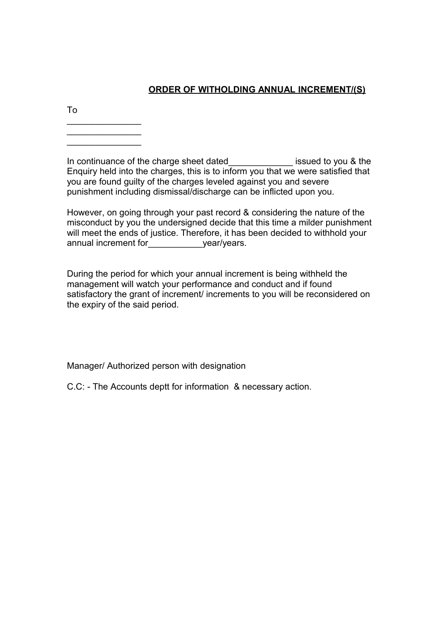## **ORDER OF WITHOLDING ANNUAL INCREMENT/(S)**

To

 $\frac{1}{2}$  $\frac{1}{2}$  $\frac{1}{2}$ 

In continuance of the charge sheet dated\_\_\_\_\_\_\_\_\_\_\_\_\_ issued to you & the Enquiry held into the charges, this is to inform you that we were satisfied that you are found guilty of the charges leveled against you and severe punishment including dismissal/discharge can be inflicted upon you.

However, on going through your past record & considering the nature of the misconduct by you the undersigned decide that this time a milder punishment will meet the ends of justice. Therefore, it has been decided to withhold your annual increment for\_\_\_\_\_\_\_\_\_\_\_year/years.

During the period for which your annual increment is being withheld the management will watch your performance and conduct and if found satisfactory the grant of increment/ increments to you will be reconsidered on the expiry of the said period.

Manager/ Authorized person with designation

C.C: - The Accounts deptt for information & necessary action.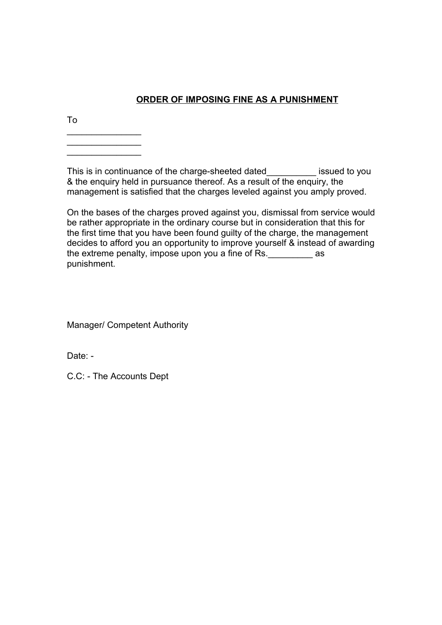## **ORDER OF IMPOSING FINE AS A PUNISHMENT**

To

 $\frac{1}{2}$ 

 $\frac{1}{2}$ 

This is in continuance of the charge-sheeted dated\_\_\_\_\_\_\_\_\_\_ issued to you & the enquiry held in pursuance thereof. As a result of the enquiry, the management is satisfied that the charges leveled against you amply proved.

On the bases of the charges proved against you, dismissal from service would be rather appropriate in the ordinary course but in consideration that this for the first time that you have been found guilty of the charge, the management decides to afford you an opportunity to improve yourself & instead of awarding the extreme penalty, impose upon you a fine of Rs.  $\qquad \qquad$  as punishment.

Manager/ Competent Authority

Date: -

C.C: - The Accounts Dept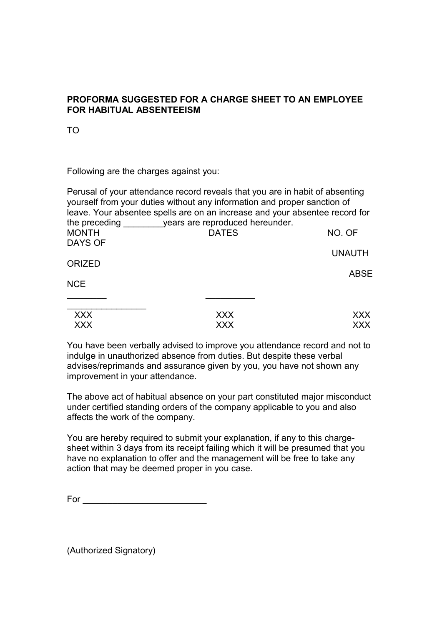#### **PROFORMA SUGGESTED FOR A CHARGE SHEET TO AN EMPLOYEE FOR HABITUAL ABSENTEEISM**

TO

Following are the charges against you:

| Perusal of your attendance record reveals that you are in habit of absenting<br>yourself from your duties without any information and proper sanction of<br>leave. Your absentee spells are on an increase and your absentee record for |                                                               |
|-----------------------------------------------------------------------------------------------------------------------------------------------------------------------------------------------------------------------------------------|---------------------------------------------------------------|
|                                                                                                                                                                                                                                         |                                                               |
|                                                                                                                                                                                                                                         | NO. OF                                                        |
|                                                                                                                                                                                                                                         | <b>UNAUTH</b>                                                 |
|                                                                                                                                                                                                                                         |                                                               |
|                                                                                                                                                                                                                                         | <b>ABSE</b>                                                   |
|                                                                                                                                                                                                                                         |                                                               |
|                                                                                                                                                                                                                                         |                                                               |
| <b>XXX</b>                                                                                                                                                                                                                              | XXX.                                                          |
| XXX                                                                                                                                                                                                                                     | XXX                                                           |
|                                                                                                                                                                                                                                         | the preceding vears are reproduced hereunder.<br><b>DATES</b> |

You have been verbally advised to improve you attendance record and not to indulge in unauthorized absence from duties. But despite these verbal advises/reprimands and assurance given by you, you have not shown any improvement in your attendance.

The above act of habitual absence on your part constituted major misconduct under certified standing orders of the company applicable to you and also affects the work of the company.

You are hereby required to submit your explanation, if any to this chargesheet within 3 days from its receipt failing which it will be presumed that you have no explanation to offer and the management will be free to take any action that may be deemed proper in you case.

 $For \_\_\_\_\_\_\_\_$ 

(Authorized Signatory)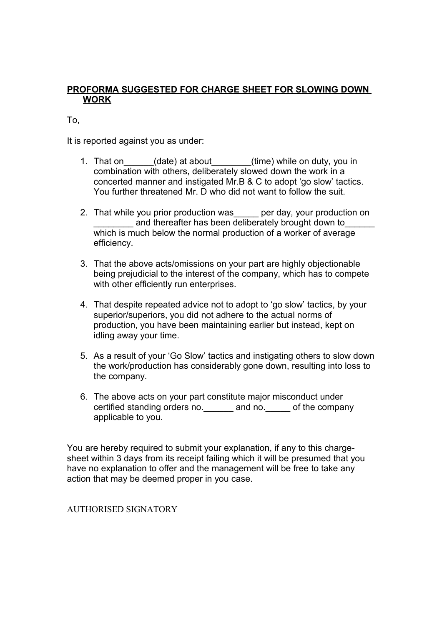### **PROFORMA SUGGESTED FOR CHARGE SHEET FOR SLOWING DOWN WORK**

### To,

It is reported against you as under:

- 1. That on \_\_\_\_\_\_(date) at about \_\_\_\_\_\_\_(time) while on duty, you in combination with others, deliberately slowed down the work in a concerted manner and instigated Mr.B & C to adopt 'go slow' tactics. You further threatened Mr. D who did not want to follow the suit.
- 2. That while you prior production was\_\_\_\_\_ per day, your production on and thereafter has been deliberately brought down to which is much below the normal production of a worker of average efficiency.
- 3. That the above acts/omissions on your part are highly objectionable being prejudicial to the interest of the company, which has to compete with other efficiently run enterprises.
- 4. That despite repeated advice not to adopt to 'go slow' tactics, by your superior/superiors, you did not adhere to the actual norms of production, you have been maintaining earlier but instead, kept on idling away your time.
- 5. As a result of your 'Go Slow' tactics and instigating others to slow down the work/production has considerably gone down, resulting into loss to the company.
- 6. The above acts on your part constitute major misconduct under certified standing orders no. The and no. The of the company applicable to you.

You are hereby required to submit your explanation, if any to this chargesheet within 3 days from its receipt failing which it will be presumed that you have no explanation to offer and the management will be free to take any action that may be deemed proper in you case.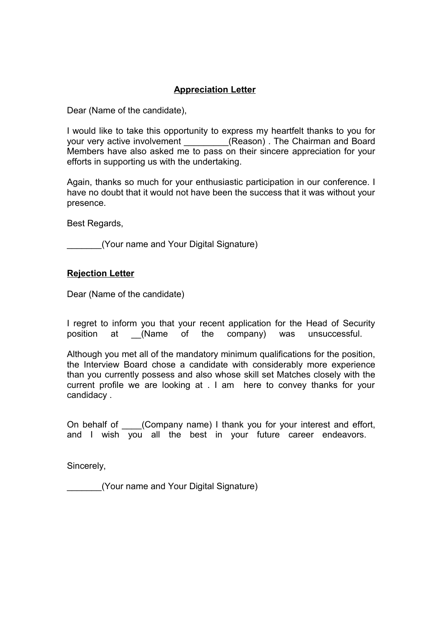## **Appreciation Letter**

Dear (Name of the candidate),

I would like to take this opportunity to express my heartfelt thanks to you for your very active involvement \_\_\_\_\_\_\_\_(Reason). The Chairman and Board Members have also asked me to pass on their sincere appreciation for your efforts in supporting us with the undertaking.

Again, thanks so much for your enthusiastic participation in our conference. I have no doubt that it would not have been the success that it was without your presence.

Best Regards,

\_\_\_\_\_\_\_(Your name and Your Digital Signature)

#### **Rejection Letter**

Dear (Name of the candidate)

I regret to inform you that your recent application for the Head of Security position at \_\_(Name of the company) was unsuccessful.

Although you met all of the mandatory minimum qualifications for the position, the Interview Board chose a candidate with considerably more experience than you currently possess and also whose skill set Matches closely with the current profile we are looking at . I am here to convey thanks for your candidacy .

On behalf of (Company name) I thank you for your interest and effort, and I wish you all the best in your future career endeavors.

Sincerely,

\_\_\_\_\_\_\_(Your name and Your Digital Signature)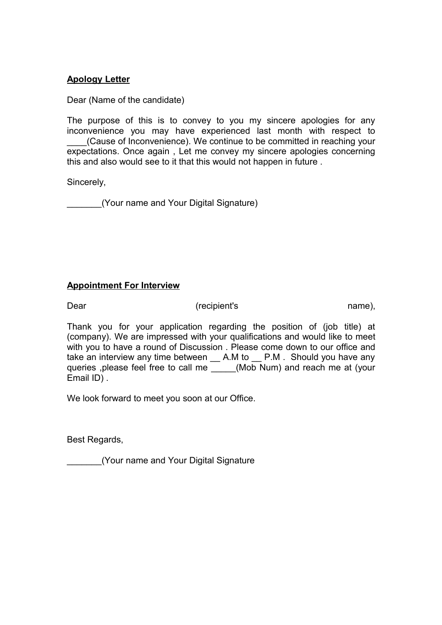#### **Apology Letter**

Dear (Name of the candidate)

The purpose of this is to convey to you my sincere apologies for any inconvenience you may have experienced last month with respect to (Cause of Inconvenience). We continue to be committed in reaching your expectations. Once again , Let me convey my sincere apologies concerning this and also would see to it that this would not happen in future .

Sincerely,

\_\_\_\_\_\_\_(Your name and Your Digital Signature)

#### **Appointment For Interview**

Dear (recipient's mame),  $\overline{a}$  name),  $\overline{b}$ 

Thank you for your application regarding the position of (job title) at (company). We are impressed with your qualifications and would like to meet with you to have a round of Discussion . Please come down to our office and take an interview any time between \_ A.M to \_ P.M. Should you have any queries , please feel free to call me (Mob Num) and reach me at (your Email ID) .

We look forward to meet you soon at our Office.

Best Regards,

\_\_\_\_\_\_\_(Your name and Your Digital Signature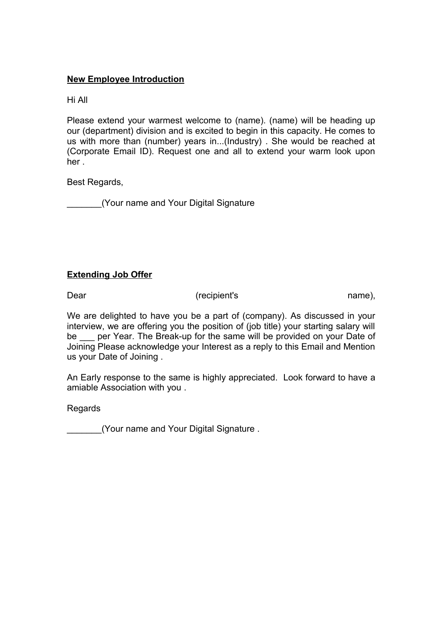#### **[New Employee Introduction](http://www.business-letter-templates.com/Documents/Document/new+employee+introduction/4728b28e-098b-401f-987b-fad47cfb0e03/)**

Hi All

Please extend your warmest welcome to (name). (name) will be heading up our (department) division and is excited to begin in this capacity. He comes to us with more than (number) years in...(Industry) . She would be reached at (Corporate Email ID). Request one and all to extend your warm look upon her .

Best Regards,

\_\_\_\_\_\_\_(Your name and Your Digital Signature

#### **Extending Job Offer**

Dear (recipient's name),

We are delighted to have you be a part of (company). As discussed in your interview, we are offering you the position of (job title) your starting salary will be per Year. The Break-up for the same will be provided on your Date of Joining Please acknowledge your Interest as a reply to this Email and Mention us your Date of Joining .

An Early response to the same is highly appreciated. Look forward to have a amiable Association with you .

**Regards** 

\_\_\_\_\_\_\_(Your name and Your Digital Signature .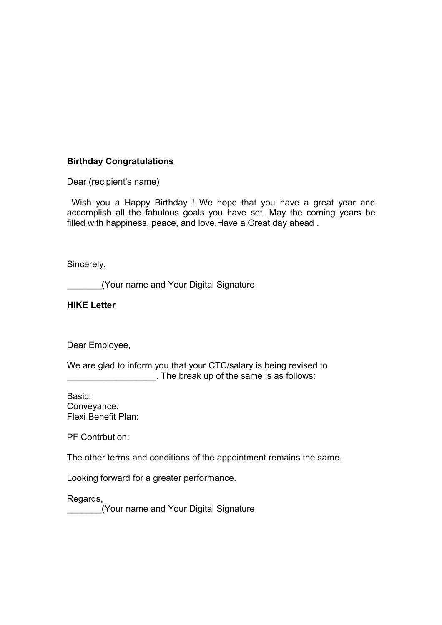### **Birthday Congratulations**

Dear (recipient's name)

 Wish you a Happy Birthday ! We hope that you have a great year and accomplish all the fabulous goals you have set. May the coming years be filled with happiness, peace, and love.Have a Great day ahead .

Sincerely,

\_\_\_\_\_\_\_(Your name and Your Digital Signature

#### **HIKE Letter**

Dear Employee,

We are glad to inform you that your CTC/salary is being revised to \_\_\_\_\_\_\_\_\_\_\_\_\_\_\_\_\_\_. The break up of the same is as follows:

Basic: Conveyance: Flexi Benefit Plan:

PF Contrbution:

The other terms and conditions of the appointment remains the same.

Looking forward for a greater performance.

Regards,

\_\_\_\_\_\_\_(Your name and Your Digital Signature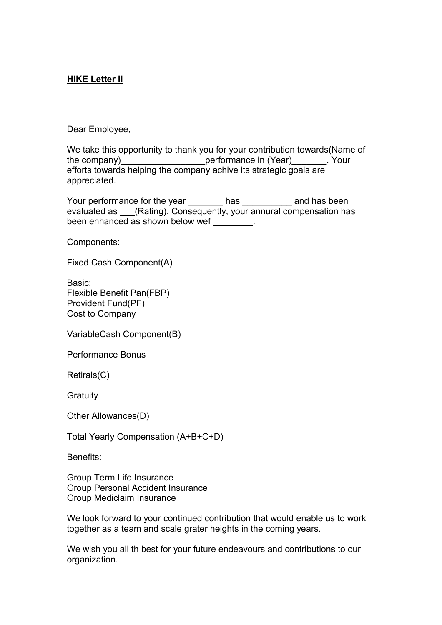### **HIKE Letter II**

Dear Employee,

We take this opportunity to thank you for your contribution towards(Name of the company)\_\_\_\_\_\_\_\_\_\_\_\_\_\_\_\_\_\_\_\_\_\_\_\_\_performance in (Year)\_\_\_\_\_\_\_\_. Your efforts towards helping the company achive its strategic goals are appreciated.

Your performance for the year has the same has been evaluated as (Rating). Consequently, your annural compensation has been enhanced as shown below wef  $\qquad \qquad$ .

Components:

Fixed Cash Component(A)

Basic: Flexible Benefit Pan(FBP) Provident Fund(PF) Cost to Company

VariableCash Component(B)

Performance Bonus

Retirals(C)

**Gratuity** 

Other Allowances(D)

Total Yearly Compensation (A+B+C+D)

Benefits:

Group Term Life Insurance Group Personal Accident Insurance Group Mediclaim Insurance

We look forward to your continued contribution that would enable us to work together as a team and scale grater heights in the coming years.

We wish you all th best for your future endeavours and contributions to our organization.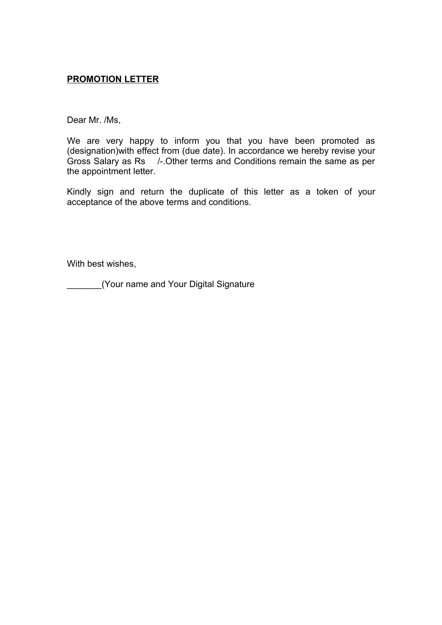#### **PROMOTION LETTER**

Dear Mr. /Ms,

We are very happy to inform you that you have been promoted as (designation)with effect from (due date). In accordance we hereby revise your Gross Salary as Rs /-.Other terms and Conditions remain the same as per the appointment letter.

Kindly sign and return the duplicate of this letter as a token of your acceptance of the above terms and conditions.

With best wishes,

\_\_\_\_\_\_\_(Your name and Your Digital Signature